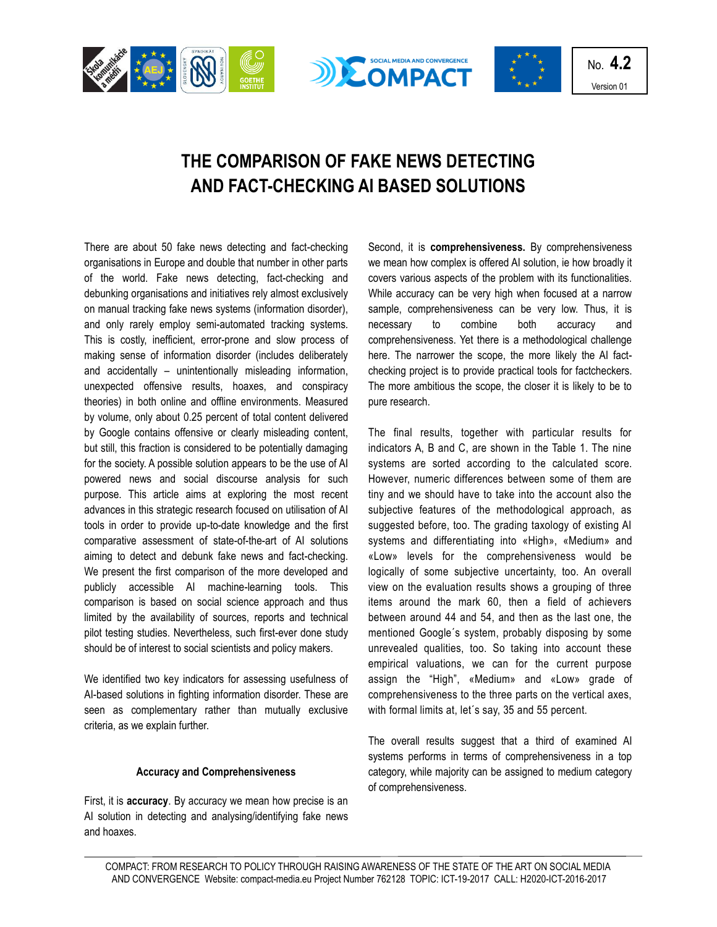

# **THE COMPARISON OF FAKE NEWS DETECTING AND FACT-CHECKING AI BASED SOLUTIONS**

There are about 50 fake news detecting and fact-checking organisations in Europe and double that number in other parts of the world. Fake news detecting, fact-checking and debunking organisations and initiatives rely almost exclusively on manual tracking fake news systems (information disorder), and only rarely employ semi-automated tracking systems. This is costly, inefficient, error-prone and slow process of making sense of information disorder (includes deliberately and accidentally – unintentionally misleading information, unexpected offensive results, hoaxes, and conspiracy theories) in both online and offline environments. Measured by volume, only about 0.25 percent of total content delivered by Google contains offensive or clearly misleading content, but still, this fraction is considered to be potentially damaging for the society. A possible solution appears to be the use of AI powered news and social discourse analysis for such purpose. This article aims at exploring the most recent advances in this strategic research focused on utilisation of AI tools in order to provide up-to-date knowledge and the first comparative assessment of state-of-the-art of AI solutions aiming to detect and debunk fake news and fact-checking. We present the first comparison of the more developed and publicly accessible AI machine-learning tools. This comparison is based on social science approach and thus limited by the availability of sources, reports and technical pilot testing studies. Nevertheless, such first-ever done study should be of interest to social scientists and policy makers.

We identified two key indicators for assessing usefulness of AI-based solutions in fighting information disorder. These are seen as complementary rather than mutually exclusive criteria, as we explain further.

### **Accuracy and Comprehensiveness**

First, it is **accuracy**. By accuracy we mean how precise is an AI solution in detecting and analysing/identifying fake news and hoaxes.

Second, it is **comprehensiveness.** By comprehensiveness we mean how complex is offered AI solution, ie how broadly it covers various aspects of the problem with its functionalities. While accuracy can be very high when focused at a narrow sample, comprehensiveness can be very low. Thus, it is necessary to combine both accuracy and comprehensiveness. Yet there is a methodological challenge here. The narrower the scope, the more likely the AI factchecking project is to provide practical tools for factcheckers. The more ambitious the scope, the closer it is likely to be to pure research.

The final results, together with particular results for indicators A, B and C, are shown in the Table 1. The nine systems are sorted according to the calculated score. However, numeric differences between some of them are tiny and we should have to take into the account also the subjective features of the methodological approach, as suggested before, too. The grading taxology of existing AI systems and differentiating into «High», «Medium» and «Low» levels for the comprehensiveness would be logically of some subjective uncertainty, too. An overall view on the evaluation results shows a grouping of three items around the mark 60, then a field of achievers between around 44 and 54, and then as the last one, the mentioned Google´s system, probably disposing by some unrevealed qualities, too. So taking into account these empirical valuations, we can for the current purpose assign the "High", «Medium» and «Low» grade of comprehensiveness to the three parts on the vertical axes, with formal limits at, let´s say, 35 and 55 percent.

The overall results suggest that a third of examined AI systems performs in terms of comprehensiveness in a top category, while majority can be assigned to medium category of comprehensiveness.